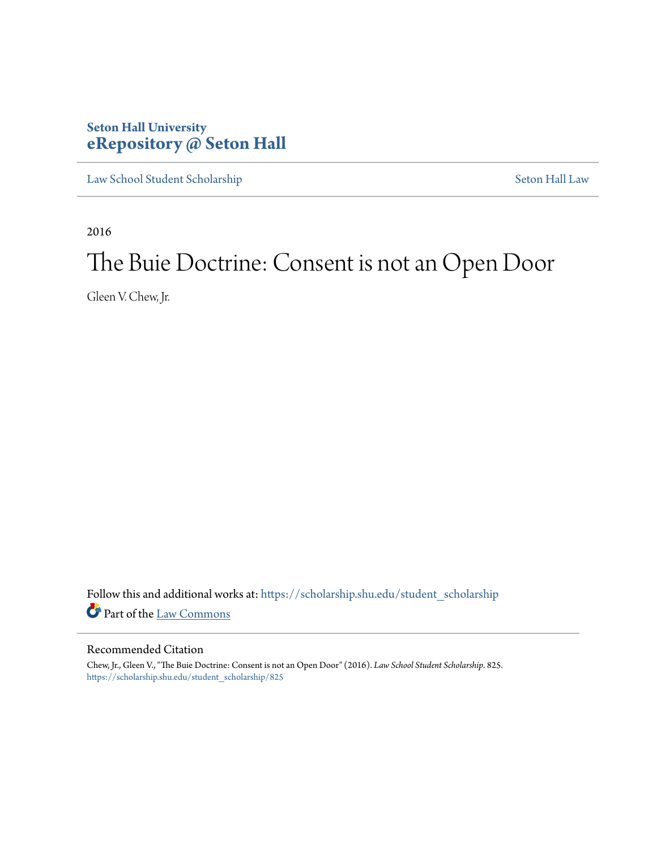## **Seton Hall University [eRepository @ Seton Hall](https://scholarship.shu.edu?utm_source=scholarship.shu.edu%2Fstudent_scholarship%2F825&utm_medium=PDF&utm_campaign=PDFCoverPages)**

[Law School Student Scholarship](https://scholarship.shu.edu/student_scholarship?utm_source=scholarship.shu.edu%2Fstudent_scholarship%2F825&utm_medium=PDF&utm_campaign=PDFCoverPages) [Seton Hall Law](https://scholarship.shu.edu/law?utm_source=scholarship.shu.edu%2Fstudent_scholarship%2F825&utm_medium=PDF&utm_campaign=PDFCoverPages)

2016

# The Buie Doctrine: Consent is not an Open Door

Gleen V. Chew, Jr.

Follow this and additional works at: [https://scholarship.shu.edu/student\\_scholarship](https://scholarship.shu.edu/student_scholarship?utm_source=scholarship.shu.edu%2Fstudent_scholarship%2F825&utm_medium=PDF&utm_campaign=PDFCoverPages) Part of the [Law Commons](http://network.bepress.com/hgg/discipline/578?utm_source=scholarship.shu.edu%2Fstudent_scholarship%2F825&utm_medium=PDF&utm_campaign=PDFCoverPages)

## Recommended Citation

Chew, Jr., Gleen V., "The Buie Doctrine: Consent is not an Open Door" (2016). *Law School Student Scholarship*. 825. [https://scholarship.shu.edu/student\\_scholarship/825](https://scholarship.shu.edu/student_scholarship/825?utm_source=scholarship.shu.edu%2Fstudent_scholarship%2F825&utm_medium=PDF&utm_campaign=PDFCoverPages)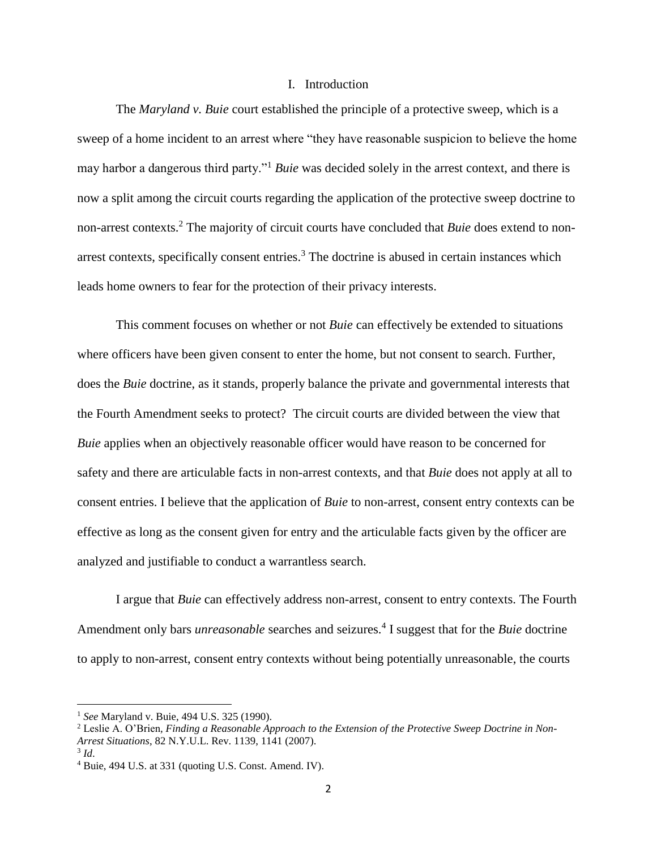## I. Introduction

The *Maryland v. Buie* court established the principle of a protective sweep, which is a sweep of a home incident to an arrest where "they have reasonable suspicion to believe the home may harbor a dangerous third party."<sup>1</sup> *Buie* was decided solely in the arrest context, and there is now a split among the circuit courts regarding the application of the protective sweep doctrine to non-arrest contexts.<sup>2</sup> The majority of circuit courts have concluded that *Buie* does extend to nonarrest contexts, specifically consent entries.<sup>3</sup> The doctrine is abused in certain instances which leads home owners to fear for the protection of their privacy interests.

This comment focuses on whether or not *Buie* can effectively be extended to situations where officers have been given consent to enter the home, but not consent to search. Further, does the *Buie* doctrine, as it stands, properly balance the private and governmental interests that the Fourth Amendment seeks to protect? The circuit courts are divided between the view that *Buie* applies when an objectively reasonable officer would have reason to be concerned for safety and there are articulable facts in non-arrest contexts, and that *Buie* does not apply at all to consent entries. I believe that the application of *Buie* to non-arrest, consent entry contexts can be effective as long as the consent given for entry and the articulable facts given by the officer are analyzed and justifiable to conduct a warrantless search.

I argue that *Buie* can effectively address non-arrest, consent to entry contexts. The Fourth Amendment only bars *unreasonable* searches and seizures.<sup>4</sup> I suggest that for the *Buie* doctrine to apply to non-arrest, consent entry contexts without being potentially unreasonable, the courts

<sup>1</sup> *See* Maryland v. Buie, 494 U.S. 325 (1990).

<sup>2</sup> Leslie A. O'Brien*, Finding a Reasonable Approach to the Extension of the Protective Sweep Doctrine in Non-Arrest Situations*, 82 N.Y.U.L. Rev. 1139, 1141 (2007).

<sup>3</sup> *Id*.

<sup>4</sup> Buie, 494 U.S. at 331 (quoting U.S. Const. Amend. IV).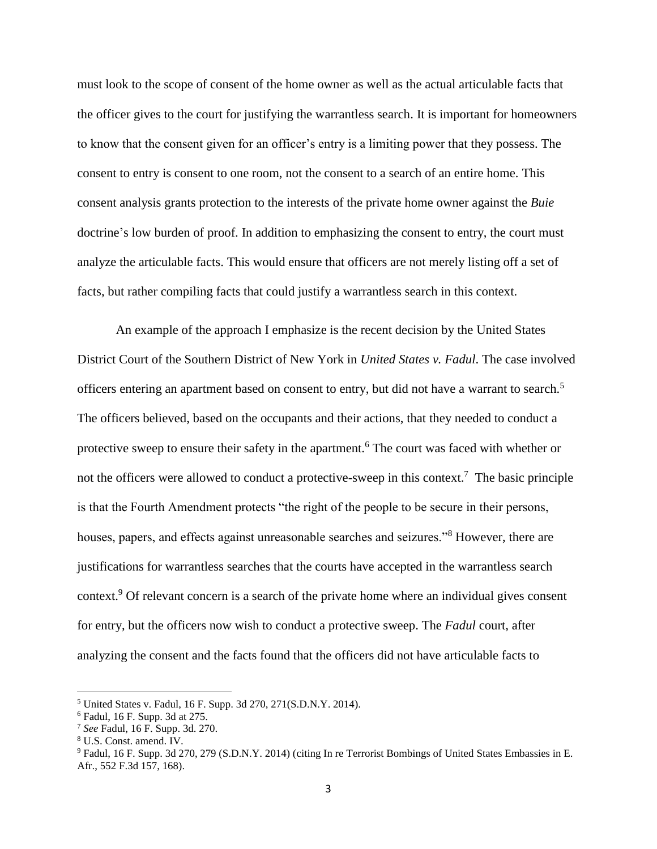must look to the scope of consent of the home owner as well as the actual articulable facts that the officer gives to the court for justifying the warrantless search. It is important for homeowners to know that the consent given for an officer's entry is a limiting power that they possess. The consent to entry is consent to one room, not the consent to a search of an entire home. This consent analysis grants protection to the interests of the private home owner against the *Buie*  doctrine's low burden of proof. In addition to emphasizing the consent to entry, the court must analyze the articulable facts. This would ensure that officers are not merely listing off a set of facts, but rather compiling facts that could justify a warrantless search in this context.

An example of the approach I emphasize is the recent decision by the United States District Court of the Southern District of New York in *United States v. Fadul*. The case involved officers entering an apartment based on consent to entry, but did not have a warrant to search.<sup>5</sup> The officers believed, based on the occupants and their actions, that they needed to conduct a protective sweep to ensure their safety in the apartment.<sup>6</sup> The court was faced with whether or not the officers were allowed to conduct a protective-sweep in this context.<sup>7</sup> The basic principle is that the Fourth Amendment protects "the right of the people to be secure in their persons, houses, papers, and effects against unreasonable searches and seizures."<sup>8</sup> However, there are justifications for warrantless searches that the courts have accepted in the warrantless search context. <sup>9</sup> Of relevant concern is a search of the private home where an individual gives consent for entry, but the officers now wish to conduct a protective sweep. The *Fadul* court, after analyzing the consent and the facts found that the officers did not have articulable facts to

l

<sup>5</sup> United States v. Fadul, 16 F. Supp. 3d 270, 271(S.D.N.Y. 2014).

<sup>6</sup> Fadul, 16 F. Supp. 3d at 275.

<sup>7</sup> *See* Fadul, 16 F. Supp. 3d. 270.

<sup>8</sup> U.S. Const. amend. IV.

<sup>9</sup> Fadul, 16 F. Supp. 3d 270, 279 (S.D.N.Y. 2014) (citing In re Terrorist Bombings of United States Embassies in E. Afr., 552 F.3d 157, 168).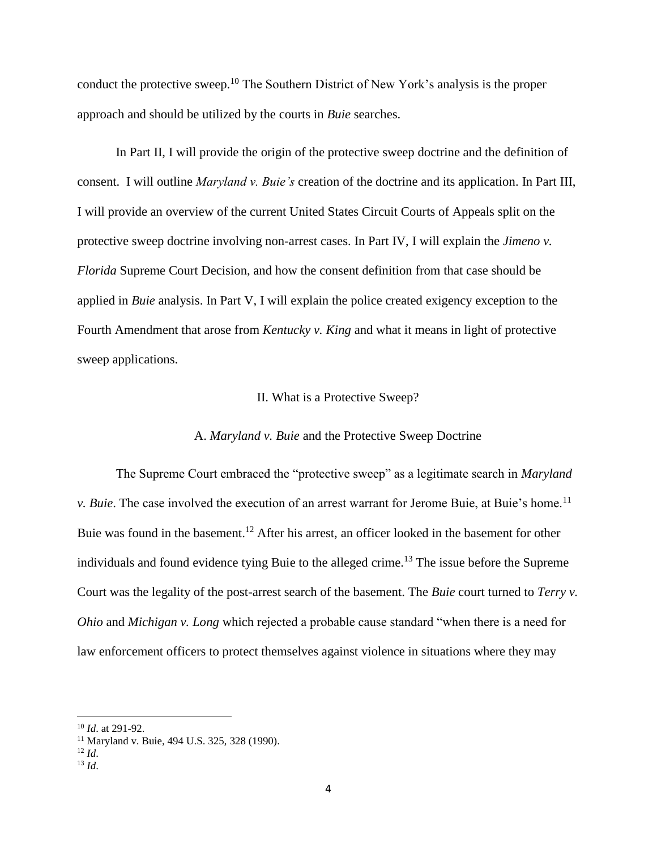conduct the protective sweep.<sup>10</sup> The Southern District of New York's analysis is the proper approach and should be utilized by the courts in *Buie* searches.

In Part II, I will provide the origin of the protective sweep doctrine and the definition of consent. I will outline *Maryland v. Buie's* creation of the doctrine and its application. In Part III, I will provide an overview of the current United States Circuit Courts of Appeals split on the protective sweep doctrine involving non-arrest cases. In Part IV, I will explain the *Jimeno v. Florida* Supreme Court Decision, and how the consent definition from that case should be applied in *Buie* analysis. In Part V, I will explain the police created exigency exception to the Fourth Amendment that arose from *Kentucky v. King* and what it means in light of protective sweep applications.

## II. What is a Protective Sweep?

## A. *Maryland v. Buie* and the Protective Sweep Doctrine

The Supreme Court embraced the "protective sweep" as a legitimate search in *Maryland v. Buie.* The case involved the execution of an arrest warrant for Jerome Buie, at Buie's home.<sup>11</sup> Buie was found in the basement.<sup>12</sup> After his arrest, an officer looked in the basement for other individuals and found evidence tying Buie to the alleged crime.<sup>13</sup> The issue before the Supreme Court was the legality of the post-arrest search of the basement. The *Buie* court turned to *Terry v. Ohio* and *Michigan v. Long* which rejected a probable cause standard "when there is a need for law enforcement officers to protect themselves against violence in situations where they may

<sup>10</sup> *Id*. at 291-92.

<sup>11</sup> Maryland v. Buie, 494 U.S. 325, 328 (1990).

 $12 \, Id$ 

 $13 \, Id.$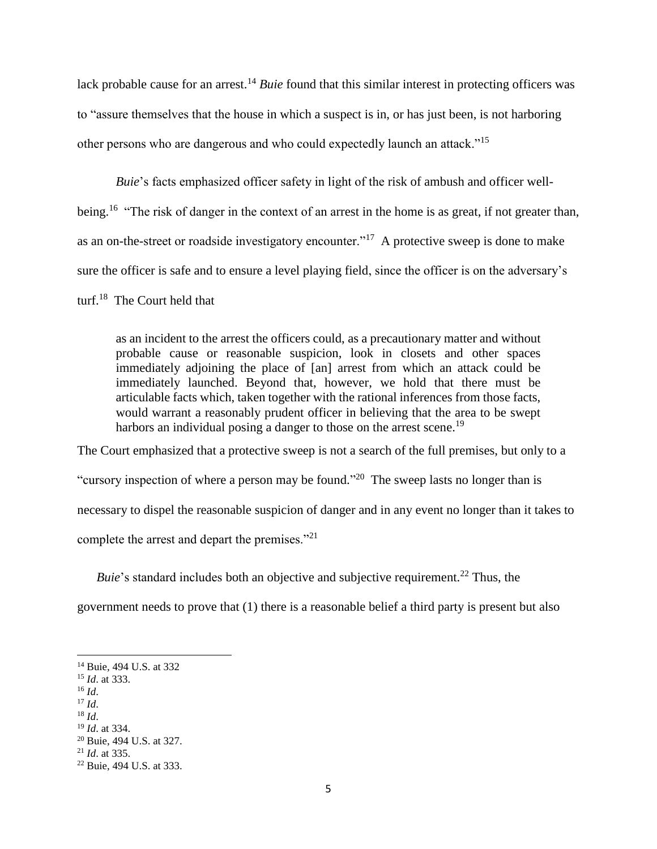lack probable cause for an arrest.<sup>14</sup> *Buie* found that this similar interest in protecting officers was to "assure themselves that the house in which a suspect is in, or has just been, is not harboring other persons who are dangerous and who could expectedly launch an attack."<sup>15</sup>

*Buie*'s facts emphasized officer safety in light of the risk of ambush and officer wellbeing.<sup>16</sup> "The risk of danger in the context of an arrest in the home is as great, if not greater than, as an on-the-street or roadside investigatory encounter."<sup>17</sup> A protective sweep is done to make sure the officer is safe and to ensure a level playing field, since the officer is on the adversary's turf.<sup>18</sup> The Court held that

as an incident to the arrest the officers could, as a precautionary matter and without probable cause or reasonable suspicion, look in closets and other spaces immediately adjoining the place of [an] arrest from which an attack could be immediately launched. Beyond that, however, we hold that there must be articulable facts which, taken together with the rational inferences from those facts, would warrant a reasonably prudent officer in believing that the area to be swept harbors an individual posing a danger to those on the arrest scene.<sup>19</sup>

The Court emphasized that a protective sweep is not a search of the full premises, but only to a "cursory inspection of where a person may be found."<sup>20</sup> The sweep lasts no longer than is necessary to dispel the reasonable suspicion of danger and in any event no longer than it takes to complete the arrest and depart the premises."<sup>21</sup>

*Buie*'s standard includes both an objective and subjective requirement.<sup>22</sup> Thus, the

government needs to prove that (1) there is a reasonable belief a third party is present but also

<sup>16</sup> *Id*.

- <sup>17</sup> *Id*.
- <sup>18</sup> *Id*. <sup>19</sup> *Id*. at 334.

<sup>14</sup> Buie, 494 U.S. at 332

<sup>15</sup> *Id*. at 333.

<sup>20</sup> Buie, 494 U.S. at 327.

<sup>21</sup> *Id*. at 335.

<sup>22</sup> Buie, 494 U.S. at 333.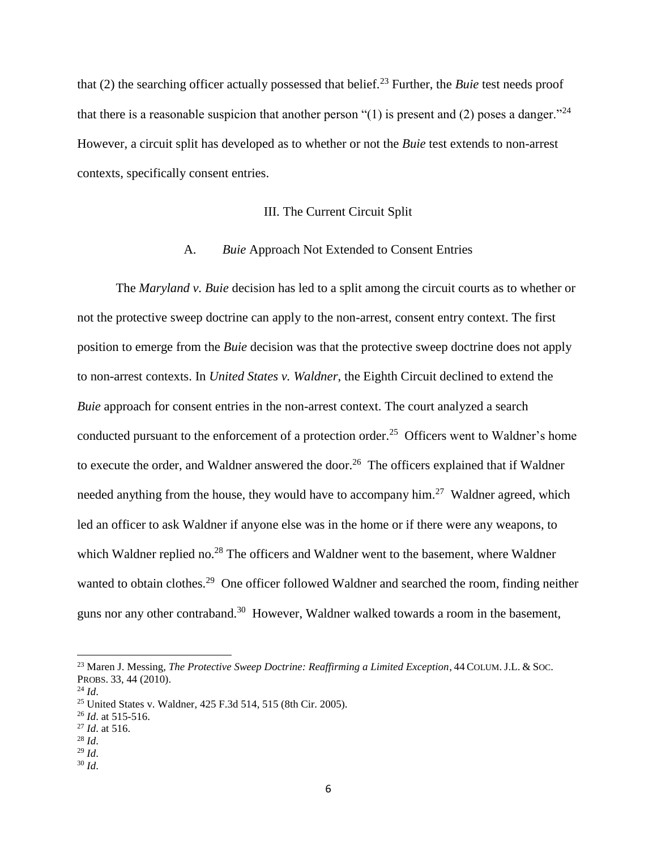that (2) the searching officer actually possessed that belief.<sup>23</sup> Further, the *Buie* test needs proof that there is a reasonable suspicion that another person "(1) is present and (2) poses a danger."<sup>24</sup> However, a circuit split has developed as to whether or not the *Buie* test extends to non-arrest contexts, specifically consent entries.

## III. The Current Circuit Split

## A. *Buie* Approach Not Extended to Consent Entries

The *Maryland v. Buie* decision has led to a split among the circuit courts as to whether or not the protective sweep doctrine can apply to the non-arrest, consent entry context. The first position to emerge from the *Buie* decision was that the protective sweep doctrine does not apply to non-arrest contexts. In *United States v. Waldner*, the Eighth Circuit declined to extend the *Buie* approach for consent entries in the non-arrest context. The court analyzed a search conducted pursuant to the enforcement of a protection order.<sup>25</sup> Officers went to Waldner's home to execute the order, and Waldner answered the door.<sup>26</sup> The officers explained that if Waldner needed anything from the house, they would have to accompany him.<sup>27</sup> Waldner agreed, which led an officer to ask Waldner if anyone else was in the home or if there were any weapons, to which Waldner replied no.<sup>28</sup> The officers and Waldner went to the basement, where Waldner wanted to obtain clothes.<sup>29</sup> One officer followed Waldner and searched the room, finding neither guns nor any other contraband.<sup>30</sup> However, Waldner walked towards a room in the basement,

<sup>23</sup> Maren J. Messing*, The Protective Sweep Doctrine: Reaffirming a Limited Exception*, 44 COLUM. J.L. & SOC. PROBS. 33, 44 (2010).

<sup>24</sup> *Id*.

<sup>25</sup> United States v. Waldner, 425 F.3d 514, 515 (8th Cir. 2005).

<sup>26</sup> *Id*. at 515-516.

<sup>27</sup> *Id*. at 516.

<sup>28</sup> *Id*.

<sup>29</sup> *Id*.

<sup>30</sup> *Id*.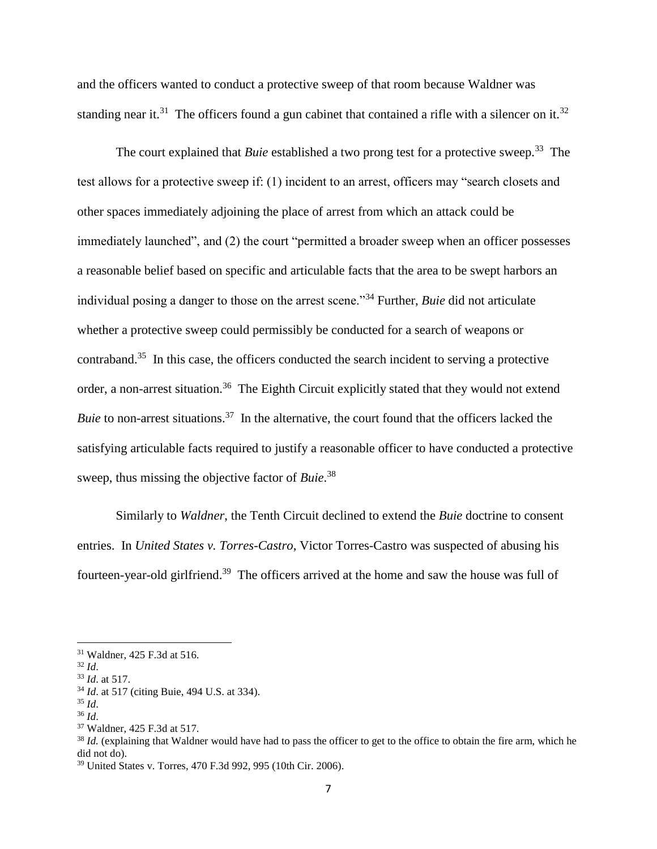and the officers wanted to conduct a protective sweep of that room because Waldner was standing near it.<sup>31</sup> The officers found a gun cabinet that contained a rifle with a silencer on it.<sup>32</sup>

The court explained that *Buie* established a two prong test for a protective sweep.<sup>33</sup> The test allows for a protective sweep if: (1) incident to an arrest, officers may "search closets and other spaces immediately adjoining the place of arrest from which an attack could be immediately launched", and (2) the court "permitted a broader sweep when an officer possesses a reasonable belief based on specific and articulable facts that the area to be swept harbors an individual posing a danger to those on the arrest scene."<sup>34</sup> Further, *Buie* did not articulate whether a protective sweep could permissibly be conducted for a search of weapons or contraband.<sup>35</sup> In this case, the officers conducted the search incident to serving a protective order, a non-arrest situation.<sup>36</sup> The Eighth Circuit explicitly stated that they would not extend Buie to non-arrest situations.<sup>37</sup> In the alternative, the court found that the officers lacked the satisfying articulable facts required to justify a reasonable officer to have conducted a protective sweep, thus missing the objective factor of *Buie*. 38

Similarly to *Waldner*, the Tenth Circuit declined to extend the *Buie* doctrine to consent entries. In *United States v. Torres-Castro*, Victor Torres-Castro was suspected of abusing his fourteen-year-old girlfriend.<sup>39</sup> The officers arrived at the home and saw the house was full of

<sup>31</sup> Waldner, 425 F.3d at 516.

<sup>32</sup> *Id*.

<sup>33</sup> *Id*. at 517.

<sup>34</sup> *Id*. at 517 (citing Buie, 494 U.S. at 334).

<sup>35</sup> *Id*.

<sup>36</sup> *Id*.

<sup>37</sup> Waldner, 425 F.3d at 517.

<sup>&</sup>lt;sup>38</sup> *Id.* (explaining that Waldner would have had to pass the officer to get to the office to obtain the fire arm, which he did not do).

<sup>39</sup> United States v. Torres, 470 F.3d 992, 995 (10th Cir. 2006).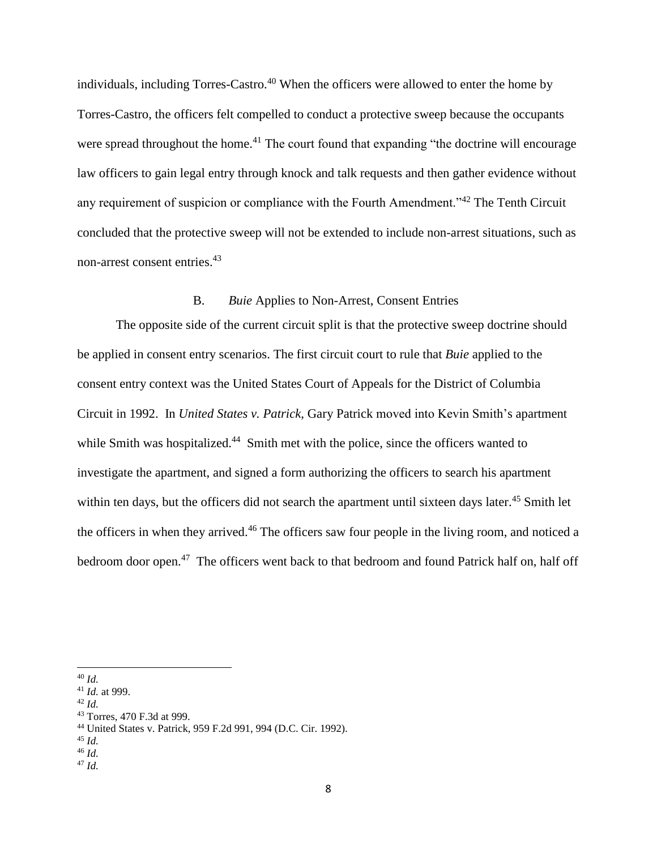individuals, including Torres-Castro.<sup>40</sup> When the officers were allowed to enter the home by Torres-Castro, the officers felt compelled to conduct a protective sweep because the occupants were spread throughout the home.<sup>41</sup> The court found that expanding "the doctrine will encourage law officers to gain legal entry through knock and talk requests and then gather evidence without any requirement of suspicion or compliance with the Fourth Amendment."<sup>42</sup> The Tenth Circuit concluded that the protective sweep will not be extended to include non-arrest situations, such as non-arrest consent entries. 43

## B. *Buie* Applies to Non-Arrest, Consent Entries

The opposite side of the current circuit split is that the protective sweep doctrine should be applied in consent entry scenarios. The first circuit court to rule that *Buie* applied to the consent entry context was the United States Court of Appeals for the District of Columbia Circuit in 1992. In *United States v. Patrick*, Gary Patrick moved into Kevin Smith's apartment while Smith was hospitalized.<sup>44</sup> Smith met with the police, since the officers wanted to investigate the apartment, and signed a form authorizing the officers to search his apartment within ten days, but the officers did not search the apartment until sixteen days later.<sup>45</sup> Smith let the officers in when they arrived.<sup>46</sup> The officers saw four people in the living room, and noticed a bedroom door open.<sup>47</sup> The officers went back to that bedroom and found Patrick half on, half off

<sup>40</sup> *Id.*

<sup>41</sup> *Id.* at 999.

<sup>42</sup> *Id.*

<sup>43</sup> Torres, 470 F.3d at 999.

<sup>44</sup> United States v. Patrick, 959 F.2d 991, 994 (D.C. Cir. 1992).

<sup>45</sup> *Id.*

<sup>46</sup> *Id.*

<sup>47</sup> *Id.*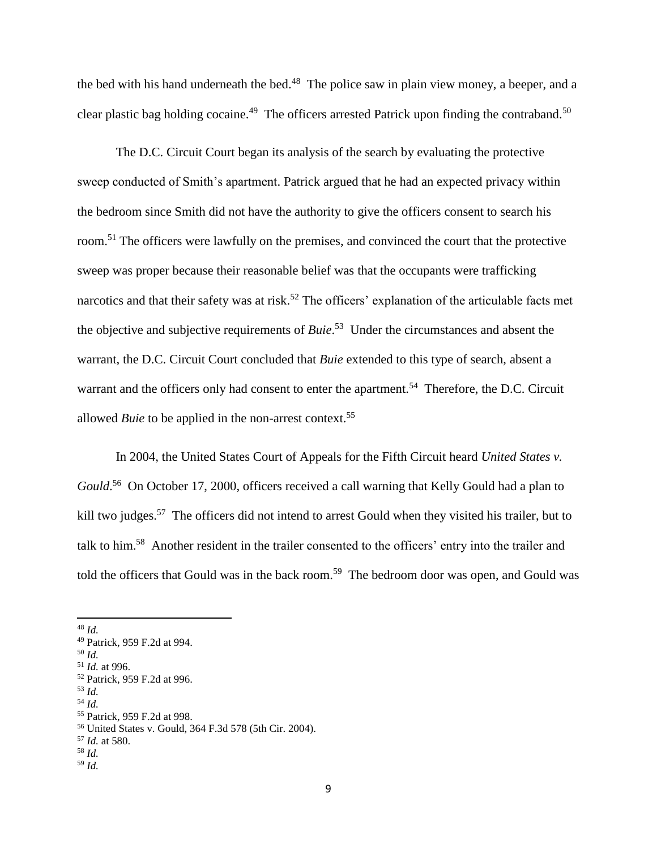the bed with his hand underneath the bed.<sup>48</sup> The police saw in plain view money, a beeper, and a clear plastic bag holding cocaine.<sup>49</sup> The officers arrested Patrick upon finding the contraband.<sup>50</sup>

The D.C. Circuit Court began its analysis of the search by evaluating the protective sweep conducted of Smith's apartment. Patrick argued that he had an expected privacy within the bedroom since Smith did not have the authority to give the officers consent to search his room.<sup>51</sup> The officers were lawfully on the premises, and convinced the court that the protective sweep was proper because their reasonable belief was that the occupants were trafficking narcotics and that their safety was at risk.<sup>52</sup> The officers' explanation of the articulable facts met the objective and subjective requirements of *Buie*. 53 Under the circumstances and absent the warrant, the D.C. Circuit Court concluded that *Buie* extended to this type of search, absent a warrant and the officers only had consent to enter the apartment.<sup>54</sup> Therefore, the D.C. Circuit allowed *Buie* to be applied in the non-arrest context.<sup>55</sup>

In 2004, the United States Court of Appeals for the Fifth Circuit heard *United States v.*  Gould.<sup>56</sup> On October 17, 2000, officers received a call warning that Kelly Gould had a plan to kill two judges.<sup>57</sup> The officers did not intend to arrest Gould when they visited his trailer, but to talk to him.<sup>58</sup> Another resident in the trailer consented to the officers' entry into the trailer and told the officers that Gould was in the back room.<sup>59</sup> The bedroom door was open, and Gould was

 $\overline{a}$ 

<sup>54</sup> *Id.*

<sup>56</sup> United States v. Gould, 364 F.3d 578 (5th Cir. 2004).

<sup>59</sup> *Id.*

<sup>48</sup> *Id.*

<sup>49</sup> Patrick, 959 F.2d at 994.

<sup>50</sup> *Id.*

<sup>51</sup> *Id.* at 996.

<sup>52</sup> Patrick, 959 F.2d at 996. <sup>53</sup> *Id.*

<sup>55</sup> Patrick, 959 F.2d at 998.

<sup>57</sup> *Id.* at 580.

<sup>58</sup> *Id.*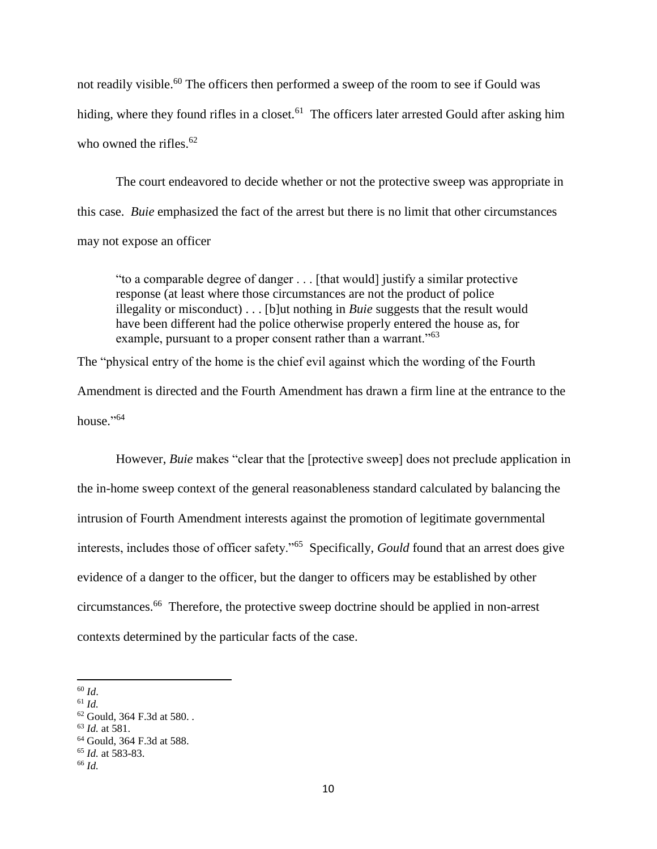not readily visible.<sup>60</sup> The officers then performed a sweep of the room to see if Gould was hiding, where they found rifles in a closet.<sup>61</sup> The officers later arrested Gould after asking him who owned the rifles. $62$ 

The court endeavored to decide whether or not the protective sweep was appropriate in this case. *Buie* emphasized the fact of the arrest but there is no limit that other circumstances may not expose an officer

"to a comparable degree of danger . . . [that would] justify a similar protective response (at least where those circumstances are not the product of police illegality or misconduct) . . . [b]ut nothing in *Buie* suggests that the result would have been different had the police otherwise properly entered the house as, for example, pursuant to a proper consent rather than a warrant."<sup>63</sup>

The "physical entry of the home is the chief evil against which the wording of the Fourth Amendment is directed and the Fourth Amendment has drawn a firm line at the entrance to the house." 64

However, *Buie* makes "clear that the [protective sweep] does not preclude application in the in-home sweep context of the general reasonableness standard calculated by balancing the intrusion of Fourth Amendment interests against the promotion of legitimate governmental interests, includes those of officer safety."<sup>65</sup> Specifically, *Gould* found that an arrest does give evidence of a danger to the officer, but the danger to officers may be established by other circumstances.<sup>66</sup> Therefore, the protective sweep doctrine should be applied in non-arrest contexts determined by the particular facts of the case.

 $\overline{\phantom{a}}$ <sup>60</sup> *Id*.

<sup>61</sup> *Id.*

<sup>62</sup> Gould, 364 F.3d at 580. *.*

<sup>63</sup> *Id.* at 581.

<sup>64</sup> Gould, 364 F.3d at 588.

<sup>65</sup> *Id.* at 583-83.

<sup>66</sup> *Id.*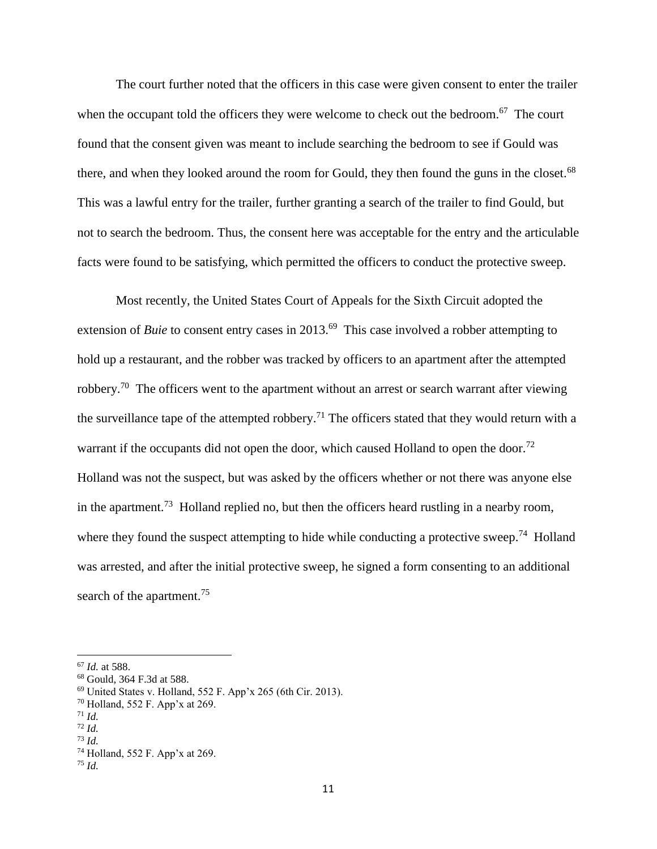The court further noted that the officers in this case were given consent to enter the trailer when the occupant told the officers they were welcome to check out the bedroom.<sup>67</sup> The court found that the consent given was meant to include searching the bedroom to see if Gould was there, and when they looked around the room for Gould, they then found the guns in the closet.<sup>68</sup> This was a lawful entry for the trailer, further granting a search of the trailer to find Gould, but not to search the bedroom. Thus, the consent here was acceptable for the entry and the articulable facts were found to be satisfying, which permitted the officers to conduct the protective sweep.

Most recently, the United States Court of Appeals for the Sixth Circuit adopted the extension of *Buie* to consent entry cases in 2013.<sup>69</sup> This case involved a robber attempting to hold up a restaurant, and the robber was tracked by officers to an apartment after the attempted robbery.<sup>70</sup> The officers went to the apartment without an arrest or search warrant after viewing the surveillance tape of the attempted robbery.<sup>71</sup> The officers stated that they would return with a warrant if the occupants did not open the door, which caused Holland to open the door.<sup>72</sup> Holland was not the suspect, but was asked by the officers whether or not there was anyone else in the apartment.<sup>73</sup> Holland replied no, but then the officers heard rustling in a nearby room, where they found the suspect attempting to hide while conducting a protective sweep.<sup>74</sup> Holland was arrested, and after the initial protective sweep, he signed a form consenting to an additional search of the apartment.<sup>75</sup>

<sup>67</sup> *Id.* at 588.

<sup>68</sup> Gould, 364 F.3d at 588.

<sup>69</sup> United States v. Holland, 552 F. App'x 265 (6th Cir. 2013).

<sup>70</sup> Holland, 552 F. App'x at 269.

 $71$  *Id.* 

<sup>72</sup> *Id.* <sup>73</sup> *Id.*

<sup>74</sup> Holland, 552 F. App'x at 269.

<sup>75</sup> *Id.*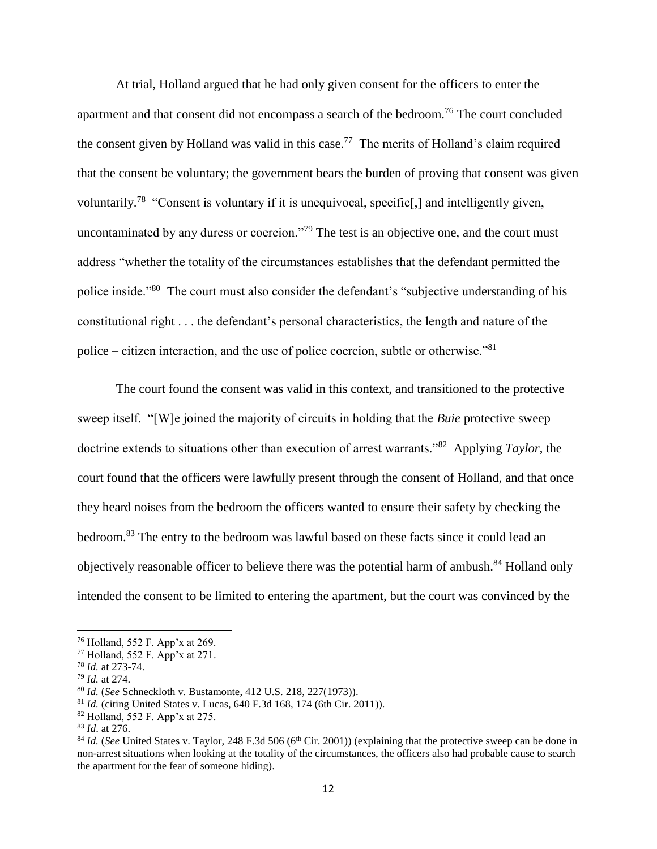At trial, Holland argued that he had only given consent for the officers to enter the apartment and that consent did not encompass a search of the bedroom.<sup>76</sup> The court concluded the consent given by Holland was valid in this case.<sup>77</sup> The merits of Holland's claim required that the consent be voluntary; the government bears the burden of proving that consent was given voluntarily.<sup>78</sup> "Consent is voluntary if it is unequivocal, specific[,] and intelligently given, uncontaminated by any duress or coercion."<sup>79</sup> The test is an objective one, and the court must address "whether the totality of the circumstances establishes that the defendant permitted the police inside."<sup>80</sup> The court must also consider the defendant's "subjective understanding of his constitutional right . . . the defendant's personal characteristics, the length and nature of the police – citizen interaction, and the use of police coercion, subtle or otherwise."<sup>81</sup>

The court found the consent was valid in this context, and transitioned to the protective sweep itself. "[W]e joined the majority of circuits in holding that the *Buie* protective sweep doctrine extends to situations other than execution of arrest warrants."<sup>82</sup> Applying *Taylor*, the court found that the officers were lawfully present through the consent of Holland, and that once they heard noises from the bedroom the officers wanted to ensure their safety by checking the bedroom.<sup>83</sup> The entry to the bedroom was lawful based on these facts since it could lead an objectively reasonable officer to believe there was the potential harm of ambush.<sup>84</sup> Holland only intended the consent to be limited to entering the apartment, but the court was convinced by the

<sup>76</sup> Holland, 552 F. App'x at 269.

<sup>77</sup> Holland, 552 F. App'x at 271.

<sup>78</sup> *Id.* at 273-74.

<sup>79</sup> *Id.* at 274.

<sup>80</sup> *Id.* (*See* Schneckloth v. Bustamonte, 412 U.S. 218, 227(1973)).

<sup>81</sup> *Id.* (citing United States v. Lucas, 640 F.3d 168, 174 (6th Cir. 2011)).

<sup>82</sup> Holland, 552 F. App'x at 275.

<sup>83</sup> *Id*. at 276.

 $84$  *Id.* (*See* United States v. Taylor, 248 F.3d 506 ( $6<sup>th</sup>$  Cir. 2001)) (explaining that the protective sweep can be done in non-arrest situations when looking at the totality of the circumstances, the officers also had probable cause to search the apartment for the fear of someone hiding).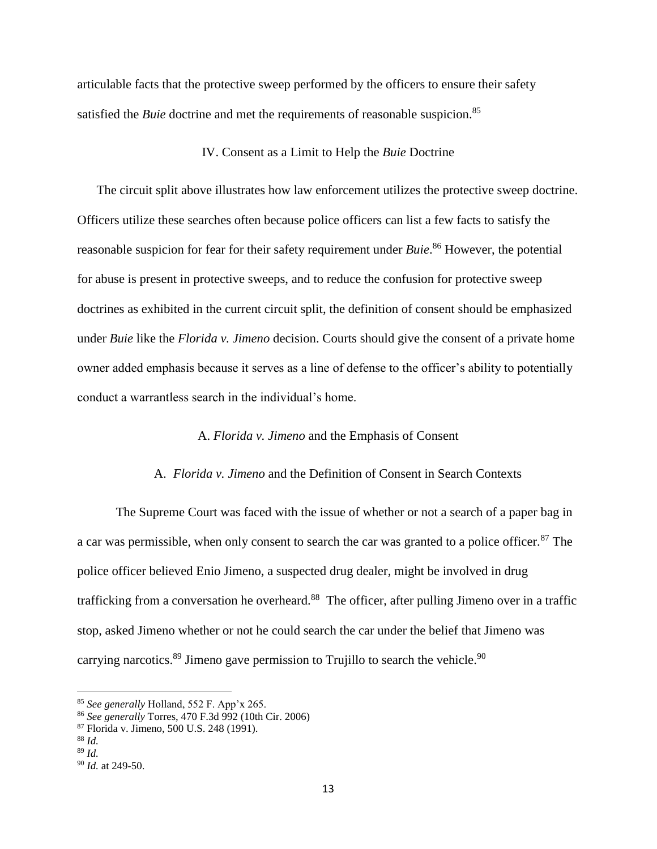articulable facts that the protective sweep performed by the officers to ensure their safety satisfied the *Buie* doctrine and met the requirements of reasonable suspicion.<sup>85</sup>

## IV. Consent as a Limit to Help the *Buie* Doctrine

The circuit split above illustrates how law enforcement utilizes the protective sweep doctrine. Officers utilize these searches often because police officers can list a few facts to satisfy the reasonable suspicion for fear for their safety requirement under *Buie*. <sup>86</sup> However, the potential for abuse is present in protective sweeps, and to reduce the confusion for protective sweep doctrines as exhibited in the current circuit split, the definition of consent should be emphasized under *Buie* like the *Florida v. Jimeno* decision. Courts should give the consent of a private home owner added emphasis because it serves as a line of defense to the officer's ability to potentially conduct a warrantless search in the individual's home.

## A. *Florida v. Jimeno* and the Emphasis of Consent

## A. *Florida v. Jimeno* and the Definition of Consent in Search Contexts

The Supreme Court was faced with the issue of whether or not a search of a paper bag in a car was permissible, when only consent to search the car was granted to a police officer.<sup>87</sup> The police officer believed Enio Jimeno, a suspected drug dealer, might be involved in drug trafficking from a conversation he overheard.<sup>88</sup> The officer, after pulling Jimeno over in a traffic stop, asked Jimeno whether or not he could search the car under the belief that Jimeno was carrying narcotics.<sup>89</sup> Jimeno gave permission to Trujillo to search the vehicle.<sup>90</sup>

l

<sup>85</sup> *See generally* Holland, 552 F. App'x 265.

<sup>86</sup> *See generally* Torres, 470 F.3d 992 (10th Cir. 2006)

<sup>87</sup> Florida v. Jimeno, 500 U.S. 248 (1991).

<sup>88</sup> *Id.*

<sup>89</sup> *Id.* 

<sup>90</sup> *Id.* at 249-50.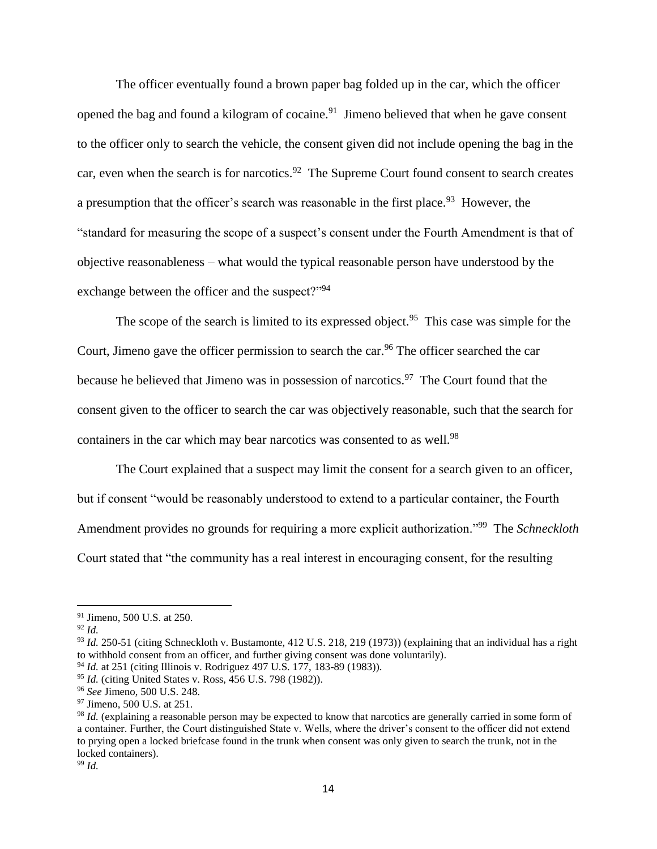The officer eventually found a brown paper bag folded up in the car, which the officer opened the bag and found a kilogram of cocaine.<sup>91</sup> Jimeno believed that when he gave consent to the officer only to search the vehicle, the consent given did not include opening the bag in the car, even when the search is for narcotics.<sup>92</sup> The Supreme Court found consent to search creates a presumption that the officer's search was reasonable in the first place.<sup>93</sup> However, the "standard for measuring the scope of a suspect's consent under the Fourth Amendment is that of objective reasonableness – what would the typical reasonable person have understood by the exchange between the officer and the suspect?"<sup>94</sup>

The scope of the search is limited to its expressed object.<sup>95</sup> This case was simple for the Court, Jimeno gave the officer permission to search the car.<sup>96</sup> The officer searched the car because he believed that Jimeno was in possession of narcotics.<sup>97</sup> The Court found that the consent given to the officer to search the car was objectively reasonable, such that the search for containers in the car which may bear narcotics was consented to as well.<sup>98</sup>

The Court explained that a suspect may limit the consent for a search given to an officer, but if consent "would be reasonably understood to extend to a particular container, the Fourth Amendment provides no grounds for requiring a more explicit authorization."<sup>99</sup> The *Schneckloth* Court stated that "the community has a real interest in encouraging consent, for the resulting

 $\overline{\phantom{a}}$ 

<sup>99</sup> *Id.*

<sup>91</sup> Jimeno, 500 U.S. at 250.

<sup>92</sup> *Id.*

<sup>93</sup> *Id.* 250-51 (citing Schneckloth v. Bustamonte, 412 U.S. 218, 219 (1973)) (explaining that an individual has a right to withhold consent from an officer, and further giving consent was done voluntarily).

<sup>94</sup> *Id.* at 251 (citing Illinois v. Rodriguez 497 U.S. 177, 183-89 (1983)).

<sup>95</sup> *Id.* (citing United States v. Ross, 456 U.S. 798 (1982)).

<sup>96</sup> *See* Jimeno, 500 U.S. 248.

<sup>97</sup> Jimeno, 500 U.S. at 251.

<sup>98</sup> *Id.* (explaining a reasonable person may be expected to know that narcotics are generally carried in some form of a container. Further, the Court distinguished State v. Wells, where the driver's consent to the officer did not extend to prying open a locked briefcase found in the trunk when consent was only given to search the trunk, not in the locked containers).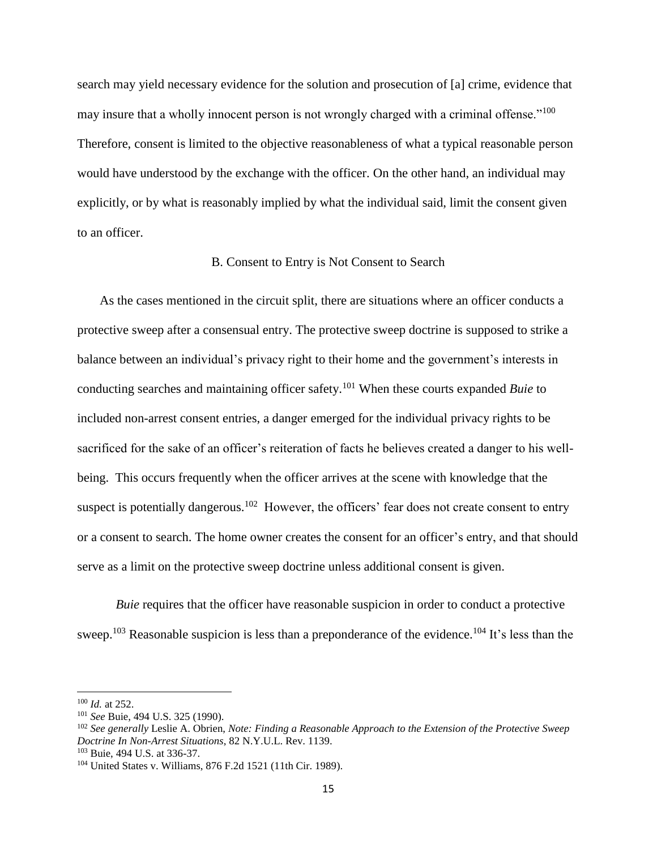search may yield necessary evidence for the solution and prosecution of [a] crime, evidence that may insure that a wholly innocent person is not wrongly charged with a criminal offense."<sup>100</sup> Therefore, consent is limited to the objective reasonableness of what a typical reasonable person would have understood by the exchange with the officer. On the other hand, an individual may explicitly, or by what is reasonably implied by what the individual said, limit the consent given to an officer.

## B. Consent to Entry is Not Consent to Search

As the cases mentioned in the circuit split, there are situations where an officer conducts a protective sweep after a consensual entry. The protective sweep doctrine is supposed to strike a balance between an individual's privacy right to their home and the government's interests in conducting searches and maintaining officer safety.<sup>101</sup> When these courts expanded *Buie* to included non-arrest consent entries, a danger emerged for the individual privacy rights to be sacrificed for the sake of an officer's reiteration of facts he believes created a danger to his wellbeing. This occurs frequently when the officer arrives at the scene with knowledge that the suspect is potentially dangerous.<sup>102</sup> However, the officers' fear does not create consent to entry or a consent to search. The home owner creates the consent for an officer's entry, and that should serve as a limit on the protective sweep doctrine unless additional consent is given.

*Buie* requires that the officer have reasonable suspicion in order to conduct a protective sweep.<sup>103</sup> Reasonable suspicion is less than a preponderance of the evidence.<sup>104</sup> It's less than the

l

<sup>100</sup> *Id.* at 252.

<sup>101</sup> *See* Buie, 494 U.S. 325 (1990).

<sup>102</sup> *See generally* Leslie A. Obrien, *Note: Finding a Reasonable Approach to the Extension of the Protective Sweep Doctrine In Non-Arrest Situations*, 82 N.Y.U.L. Rev. 1139.

<sup>103</sup> Buie, 494 U.S. at 336-37.

<sup>104</sup> United States v. Williams, 876 F.2d 1521 (11th Cir. 1989).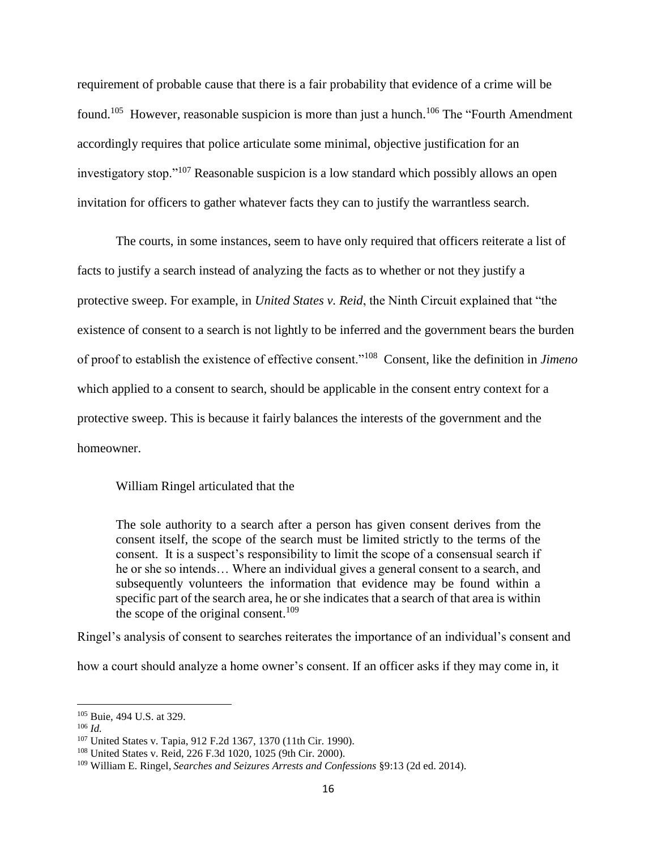requirement of probable cause that there is a fair probability that evidence of a crime will be found.<sup>105</sup> However, reasonable suspicion is more than just a hunch.<sup>106</sup> The "Fourth Amendment" accordingly requires that police articulate some minimal, objective justification for an investigatory stop."<sup>107</sup> Reasonable suspicion is a low standard which possibly allows an open invitation for officers to gather whatever facts they can to justify the warrantless search.

The courts, in some instances, seem to have only required that officers reiterate a list of facts to justify a search instead of analyzing the facts as to whether or not they justify a protective sweep. For example, in *United States v. Reid*, the Ninth Circuit explained that "the existence of consent to a search is not lightly to be inferred and the government bears the burden of proof to establish the existence of effective consent."<sup>108</sup> Consent, like the definition in *Jimeno*  which applied to a consent to search, should be applicable in the consent entry context for a protective sweep. This is because it fairly balances the interests of the government and the homeowner.

William Ringel articulated that the

The sole authority to a search after a person has given consent derives from the consent itself, the scope of the search must be limited strictly to the terms of the consent. It is a suspect's responsibility to limit the scope of a consensual search if he or she so intends… Where an individual gives a general consent to a search, and subsequently volunteers the information that evidence may be found within a specific part of the search area, he or she indicates that a search of that area is within the scope of the original consent.<sup>109</sup>

Ringel's analysis of consent to searches reiterates the importance of an individual's consent and

how a court should analyze a home owner's consent. If an officer asks if they may come in, it

<sup>105</sup> Buie, 494 U.S. at 329.

<sup>106</sup> *Id.*

<sup>107</sup> United States v. Tapia, 912 F.2d 1367, 1370 (11th Cir. 1990).

<sup>108</sup> United States v. Reid, 226 F.3d 1020, 1025 (9th Cir. 2000).

<sup>109</sup> William E. Ringel, *Searches and Seizures Arrests and Confessions* §9:13 (2d ed. 2014).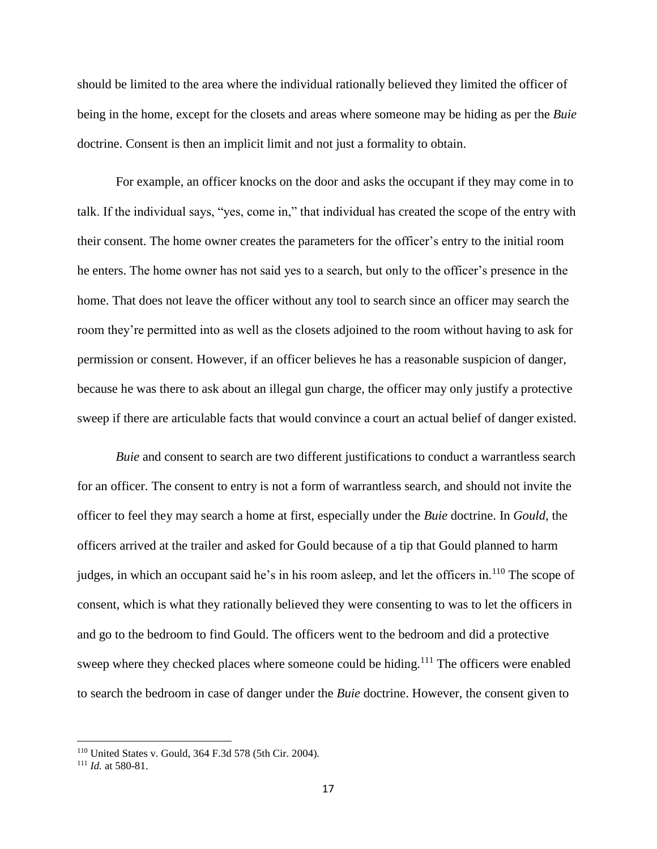should be limited to the area where the individual rationally believed they limited the officer of being in the home, except for the closets and areas where someone may be hiding as per the *Buie*  doctrine. Consent is then an implicit limit and not just a formality to obtain.

For example, an officer knocks on the door and asks the occupant if they may come in to talk. If the individual says, "yes, come in," that individual has created the scope of the entry with their consent. The home owner creates the parameters for the officer's entry to the initial room he enters. The home owner has not said yes to a search, but only to the officer's presence in the home. That does not leave the officer without any tool to search since an officer may search the room they're permitted into as well as the closets adjoined to the room without having to ask for permission or consent. However, if an officer believes he has a reasonable suspicion of danger, because he was there to ask about an illegal gun charge, the officer may only justify a protective sweep if there are articulable facts that would convince a court an actual belief of danger existed.

*Buie* and consent to search are two different justifications to conduct a warrantless search for an officer. The consent to entry is not a form of warrantless search, and should not invite the officer to feel they may search a home at first, especially under the *Buie* doctrine. In *Gould*, the officers arrived at the trailer and asked for Gould because of a tip that Gould planned to harm judges, in which an occupant said he's in his room asleep, and let the officers in.<sup>110</sup> The scope of consent, which is what they rationally believed they were consenting to was to let the officers in and go to the bedroom to find Gould. The officers went to the bedroom and did a protective sweep where they checked places where someone could be hiding.<sup>111</sup> The officers were enabled to search the bedroom in case of danger under the *Buie* doctrine. However, the consent given to

<sup>110</sup> United States v. Gould, 364 F.3d 578 (5th Cir. 2004).

<sup>111</sup> *Id.* at 580-81.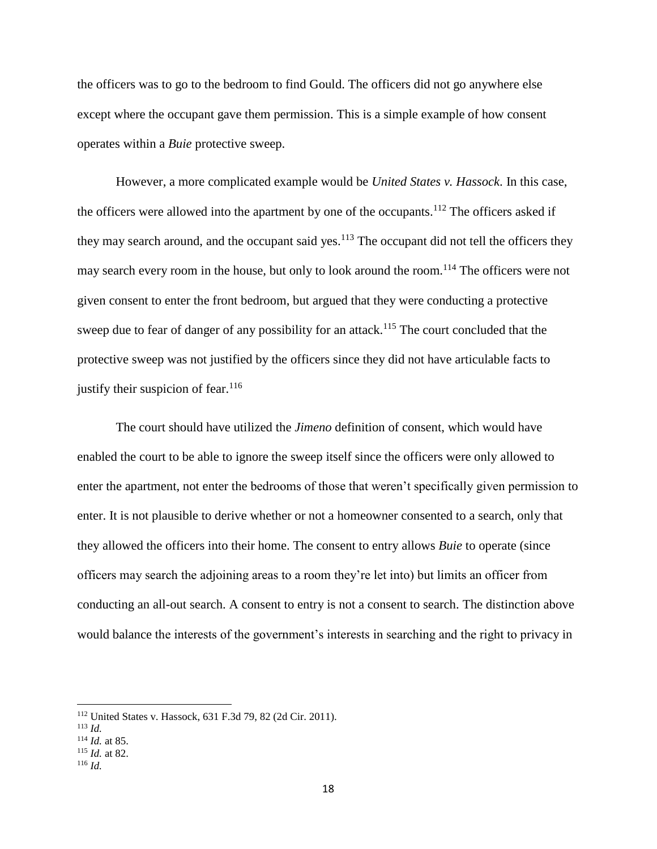the officers was to go to the bedroom to find Gould. The officers did not go anywhere else except where the occupant gave them permission. This is a simple example of how consent operates within a *Buie* protective sweep.

However, a more complicated example would be *United States v. Hassock*. In this case, the officers were allowed into the apartment by one of the occupants.<sup>112</sup> The officers asked if they may search around, and the occupant said yes.<sup>113</sup> The occupant did not tell the officers they may search every room in the house, but only to look around the room.<sup>114</sup> The officers were not given consent to enter the front bedroom, but argued that they were conducting a protective sweep due to fear of danger of any possibility for an attack.<sup>115</sup> The court concluded that the protective sweep was not justified by the officers since they did not have articulable facts to justify their suspicion of fear. $116$ 

The court should have utilized the *Jimeno* definition of consent, which would have enabled the court to be able to ignore the sweep itself since the officers were only allowed to enter the apartment, not enter the bedrooms of those that weren't specifically given permission to enter. It is not plausible to derive whether or not a homeowner consented to a search, only that they allowed the officers into their home. The consent to entry allows *Buie* to operate (since officers may search the adjoining areas to a room they're let into) but limits an officer from conducting an all-out search. A consent to entry is not a consent to search. The distinction above would balance the interests of the government's interests in searching and the right to privacy in

<sup>112</sup> United States v. Hassock, 631 F.3d 79, 82 (2d Cir. 2011).

<sup>113</sup> *Id.*

<sup>114</sup> *Id.* at 85.

<sup>115</sup> *Id.* at 82.

<sup>116</sup> *Id.*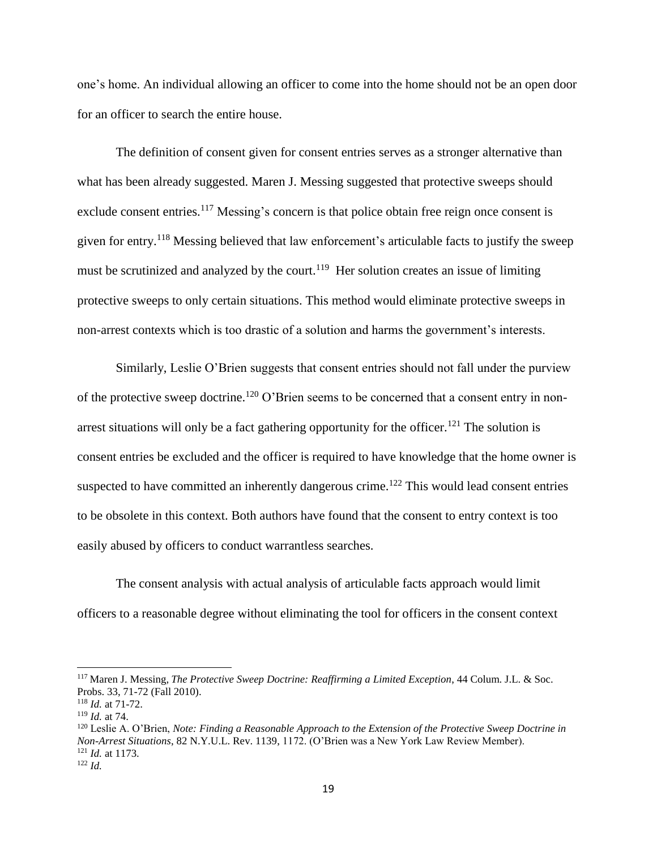one's home. An individual allowing an officer to come into the home should not be an open door for an officer to search the entire house.

The definition of consent given for consent entries serves as a stronger alternative than what has been already suggested. Maren J. Messing suggested that protective sweeps should exclude consent entries.<sup>117</sup> Messing's concern is that police obtain free reign once consent is given for entry.<sup>118</sup> Messing believed that law enforcement's articulable facts to justify the sweep must be scrutinized and analyzed by the court.<sup>119</sup> Her solution creates an issue of limiting protective sweeps to only certain situations. This method would eliminate protective sweeps in non-arrest contexts which is too drastic of a solution and harms the government's interests.

Similarly, Leslie O'Brien suggests that consent entries should not fall under the purview of the protective sweep doctrine.<sup>120</sup> O'Brien seems to be concerned that a consent entry in nonarrest situations will only be a fact gathering opportunity for the officer.<sup>121</sup> The solution is consent entries be excluded and the officer is required to have knowledge that the home owner is suspected to have committed an inherently dangerous crime.<sup>122</sup> This would lead consent entries to be obsolete in this context. Both authors have found that the consent to entry context is too easily abused by officers to conduct warrantless searches.

The consent analysis with actual analysis of articulable facts approach would limit officers to a reasonable degree without eliminating the tool for officers in the consent context

<sup>117</sup> Maren J. Messing*, The Protective Sweep Doctrine: Reaffirming a Limited Exception*, 44 Colum. J.L. & Soc. Probs. 33, 71-72 (Fall 2010).

<sup>118</sup> *Id.* at 71-72.

<sup>119</sup> *Id.* at 74.

<sup>120</sup> Leslie A. O'Brien, *Note: Finding a Reasonable Approach to the Extension of the Protective Sweep Doctrine in Non-Arrest Situations*, 82 N.Y.U.L. Rev. 1139, 1172. (O'Brien was a New York Law Review Member). <sup>121</sup> *Id.* at 1173.

<sup>122</sup> *Id.*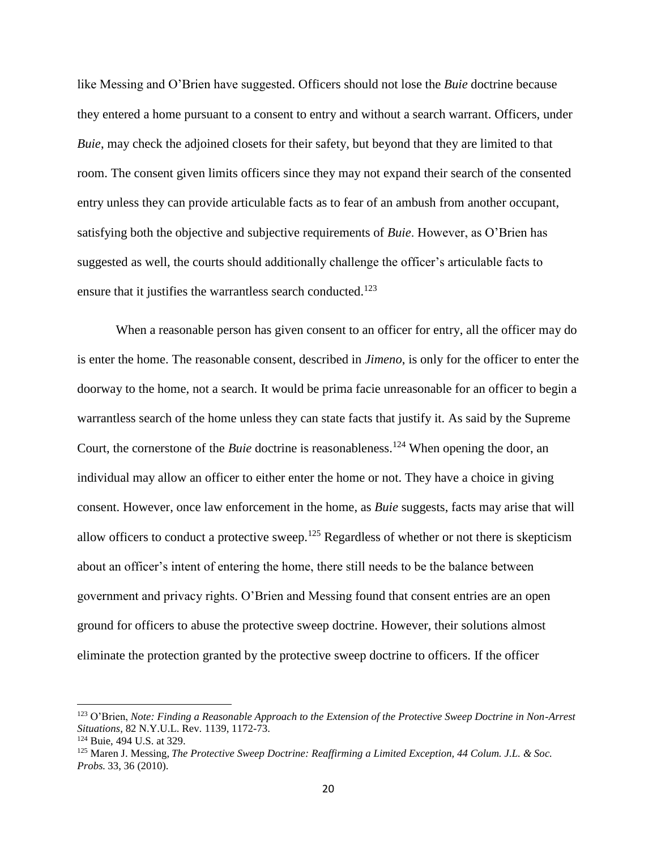like Messing and O'Brien have suggested. Officers should not lose the *Buie* doctrine because they entered a home pursuant to a consent to entry and without a search warrant. Officers, under *Buie*, may check the adjoined closets for their safety, but beyond that they are limited to that room. The consent given limits officers since they may not expand their search of the consented entry unless they can provide articulable facts as to fear of an ambush from another occupant, satisfying both the objective and subjective requirements of *Buie*. However, as O'Brien has suggested as well, the courts should additionally challenge the officer's articulable facts to ensure that it justifies the warrantless search conducted.<sup>123</sup>

When a reasonable person has given consent to an officer for entry, all the officer may do is enter the home. The reasonable consent, described in *Jimeno*, is only for the officer to enter the doorway to the home, not a search. It would be prima facie unreasonable for an officer to begin a warrantless search of the home unless they can state facts that justify it. As said by the Supreme Court, the cornerstone of the *Buie* doctrine is reasonableness.<sup>124</sup> When opening the door, an individual may allow an officer to either enter the home or not. They have a choice in giving consent. However, once law enforcement in the home, as *Buie* suggests, facts may arise that will allow officers to conduct a protective sweep.<sup>125</sup> Regardless of whether or not there is skepticism about an officer's intent of entering the home, there still needs to be the balance between government and privacy rights. O'Brien and Messing found that consent entries are an open ground for officers to abuse the protective sweep doctrine. However, their solutions almost eliminate the protection granted by the protective sweep doctrine to officers. If the officer

<sup>123</sup> O'Brien, *Note: Finding a Reasonable Approach to the Extension of the Protective Sweep Doctrine in Non-Arrest Situations*, 82 N.Y.U.L. Rev. 1139, 1172-73.

<sup>124</sup> Buie, 494 U.S. at 329.

<sup>125</sup> Maren J. Messing, *The Protective Sweep Doctrine: Reaffirming a Limited Exception, 44 Colum. J.L. & Soc. Probs.* 33, 36 (2010).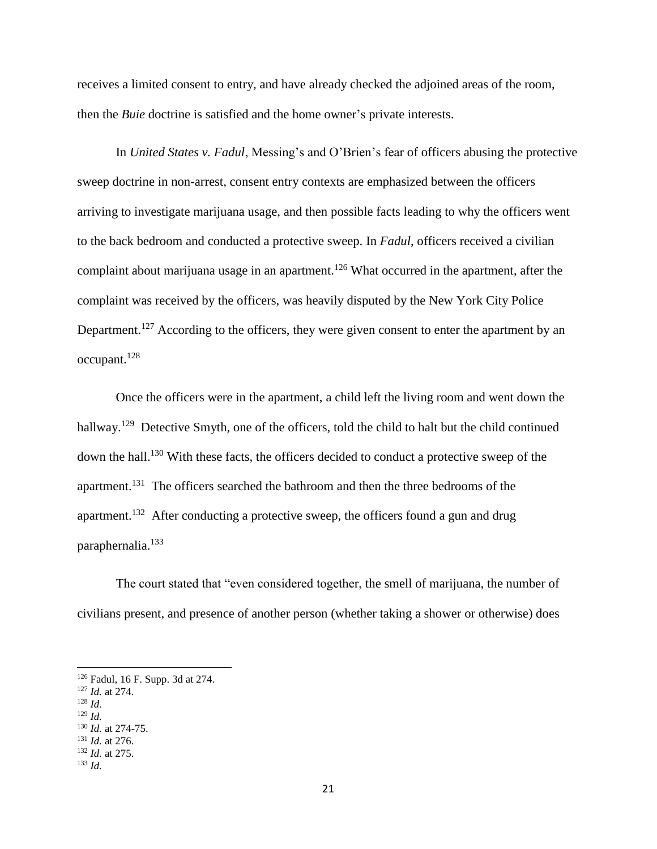receives a limited consent to entry, and have already checked the adjoined areas of the room, then the *Buie* doctrine is satisfied and the home owner's private interests.

In *United States v. Fadul*, Messing's and O'Brien's fear of officers abusing the protective sweep doctrine in non-arrest, consent entry contexts are emphasized between the officers arriving to investigate marijuana usage, and then possible facts leading to why the officers went to the back bedroom and conducted a protective sweep. In *Fadul*, officers received a civilian complaint about marijuana usage in an apartment.<sup>126</sup> What occurred in the apartment, after the complaint was received by the officers, was heavily disputed by the New York City Police Department.<sup>127</sup> According to the officers, they were given consent to enter the apartment by an occupant.<sup>128</sup>

Once the officers were in the apartment, a child left the living room and went down the hallway.<sup>129</sup> Detective Smyth, one of the officers, told the child to halt but the child continued down the hall.<sup>130</sup> With these facts, the officers decided to conduct a protective sweep of the apartment.<sup>131</sup> The officers searched the bathroom and then the three bedrooms of the apartment.<sup>132</sup> After conducting a protective sweep, the officers found a gun and drug paraphernalia. 133

The court stated that "even considered together, the smell of marijuana, the number of civilians present, and presence of another person (whether taking a shower or otherwise) does

<sup>126</sup> Fadul, 16 F. Supp. 3d at 274.

<sup>127</sup> *Id.* at 274.

<sup>128</sup> *Id.*

<sup>129</sup> *Id.*

<sup>130</sup> *Id.* at 274-75. <sup>131</sup> *Id.* at 276.

<sup>132</sup> *Id.* at 275.

<sup>133</sup> *Id.*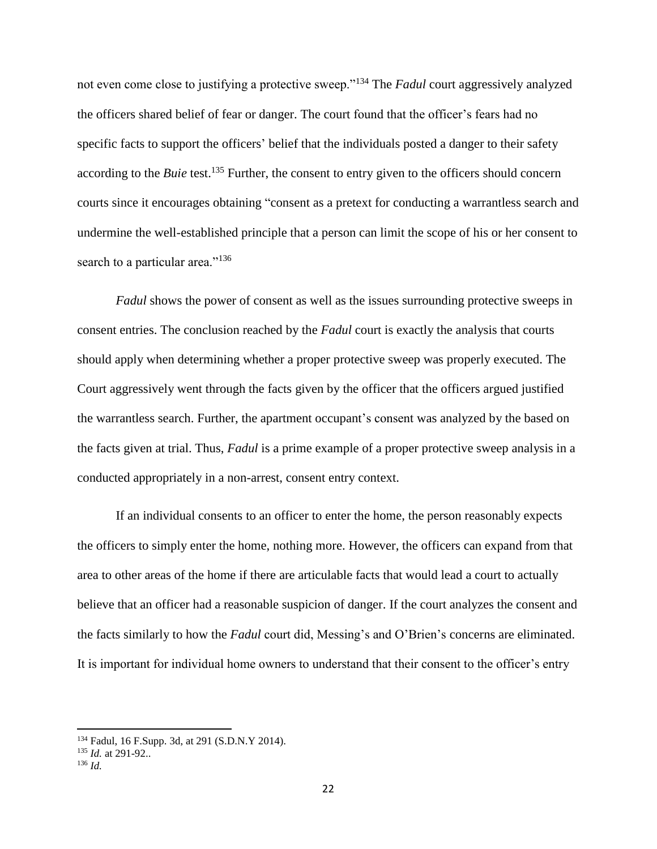not even come close to justifying a protective sweep."<sup>134</sup> The *Fadul* court aggressively analyzed the officers shared belief of fear or danger. The court found that the officer's fears had no specific facts to support the officers' belief that the individuals posted a danger to their safety according to the *Buie* test.<sup>135</sup> Further, the consent to entry given to the officers should concern courts since it encourages obtaining "consent as a pretext for conducting a warrantless search and undermine the well-established principle that a person can limit the scope of his or her consent to search to a particular area."<sup>136</sup>

*Fadul* shows the power of consent as well as the issues surrounding protective sweeps in consent entries. The conclusion reached by the *Fadul* court is exactly the analysis that courts should apply when determining whether a proper protective sweep was properly executed. The Court aggressively went through the facts given by the officer that the officers argued justified the warrantless search. Further, the apartment occupant's consent was analyzed by the based on the facts given at trial. Thus, *Fadul* is a prime example of a proper protective sweep analysis in a conducted appropriately in a non-arrest, consent entry context.

If an individual consents to an officer to enter the home, the person reasonably expects the officers to simply enter the home, nothing more. However, the officers can expand from that area to other areas of the home if there are articulable facts that would lead a court to actually believe that an officer had a reasonable suspicion of danger. If the court analyzes the consent and the facts similarly to how the *Fadul* court did, Messing's and O'Brien's concerns are eliminated. It is important for individual home owners to understand that their consent to the officer's entry

<sup>134</sup> Fadul, 16 F.Supp. 3d, at 291 (S.D.N.Y 2014).

<sup>135</sup> *Id.* at 291-92..

<sup>136</sup> *Id.*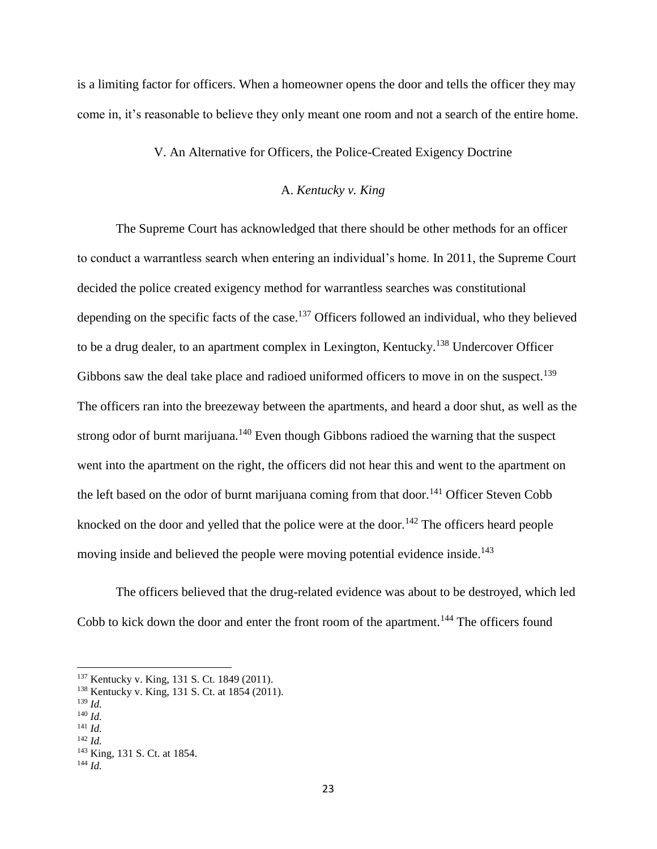is a limiting factor for officers. When a homeowner opens the door and tells the officer they may come in, it's reasonable to believe they only meant one room and not a search of the entire home.

## V. An Alternative for Officers, the Police-Created Exigency Doctrine

## A. *Kentucky v. King*

The Supreme Court has acknowledged that there should be other methods for an officer to conduct a warrantless search when entering an individual's home. In 2011, the Supreme Court decided the police created exigency method for warrantless searches was constitutional depending on the specific facts of the case.<sup>137</sup> Officers followed an individual, who they believed to be a drug dealer, to an apartment complex in Lexington, Kentucky.<sup>138</sup> Undercover Officer Gibbons saw the deal take place and radioed uniformed officers to move in on the suspect.<sup>139</sup> The officers ran into the breezeway between the apartments, and heard a door shut, as well as the strong odor of burnt marijuana.<sup>140</sup> Even though Gibbons radioed the warning that the suspect went into the apartment on the right, the officers did not hear this and went to the apartment on the left based on the odor of burnt marijuana coming from that door.<sup>141</sup> Officer Steven Cobb knocked on the door and yelled that the police were at the door.<sup>142</sup> The officers heard people moving inside and believed the people were moving potential evidence inside.<sup>143</sup>

The officers believed that the drug-related evidence was about to be destroyed, which led Cobb to kick down the door and enter the front room of the apartment.<sup>144</sup> The officers found

<sup>137</sup> Kentucky v. King, 131 S. Ct. 1849 (2011).

<sup>138</sup> Kentucky v. King, 131 S. Ct. at 1854 (2011).

<sup>139</sup> *Id.*

<sup>140</sup> *Id.*

<sup>141</sup> *Id.* <sup>142</sup> *Id.*

<sup>143</sup> King, 131 S. Ct. at 1854.

<sup>144</sup> *Id.*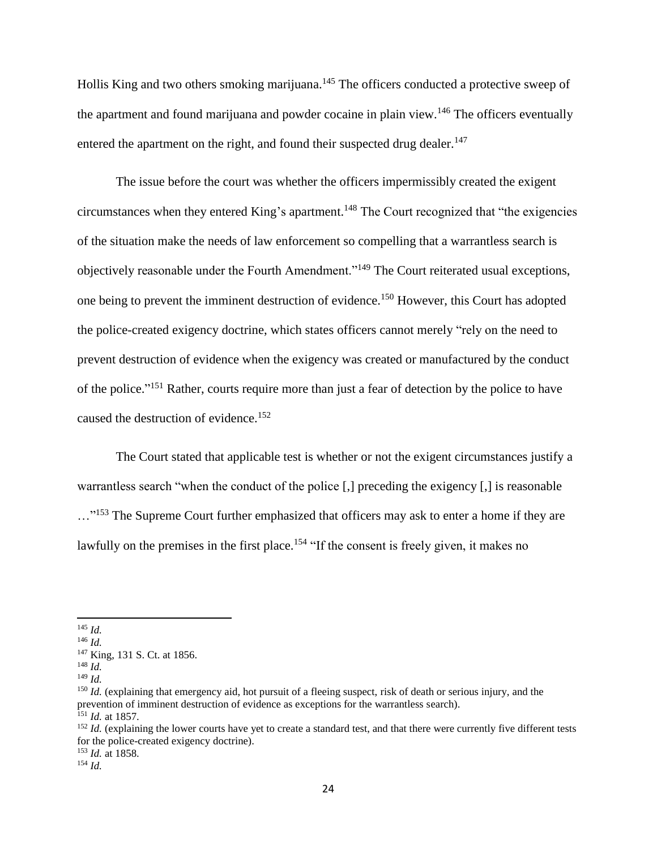Hollis King and two others smoking marijuana.<sup>145</sup> The officers conducted a protective sweep of the apartment and found marijuana and powder cocaine in plain view.<sup>146</sup> The officers eventually entered the apartment on the right, and found their suspected drug dealer.<sup>147</sup>

The issue before the court was whether the officers impermissibly created the exigent circumstances when they entered King's apartment.<sup>148</sup> The Court recognized that "the exigencies of the situation make the needs of law enforcement so compelling that a warrantless search is objectively reasonable under the Fourth Amendment."<sup>149</sup> The Court reiterated usual exceptions, one being to prevent the imminent destruction of evidence.<sup>150</sup> However, this Court has adopted the police-created exigency doctrine, which states officers cannot merely "rely on the need to prevent destruction of evidence when the exigency was created or manufactured by the conduct of the police."<sup>151</sup> Rather, courts require more than just a fear of detection by the police to have caused the destruction of evidence.<sup>152</sup>

The Court stated that applicable test is whether or not the exigent circumstances justify a warrantless search "when the conduct of the police [,] preceding the exigency [,] is reasonable ..."<sup>153</sup> The Supreme Court further emphasized that officers may ask to enter a home if they are lawfully on the premises in the first place.<sup>154</sup> "If the consent is freely given, it makes no

 $\overline{a}$ <sup>145</sup> *Id.*

<sup>154</sup> *Id.*

<sup>146</sup> *Id.*

<sup>147</sup> King, 131 S. Ct. at 1856.

<sup>148</sup> *Id.*

<sup>149</sup> *Id.*

<sup>&</sup>lt;sup>150</sup> *Id.* (explaining that emergency aid, hot pursuit of a fleeing suspect, risk of death or serious injury, and the prevention of imminent destruction of evidence as exceptions for the warrantless search). <sup>151</sup> *Id.* at 1857.

<sup>&</sup>lt;sup>152</sup> *Id.* (explaining the lower courts have yet to create a standard test, and that there were currently five different tests for the police-created exigency doctrine). <sup>153</sup> *Id.* at 1858.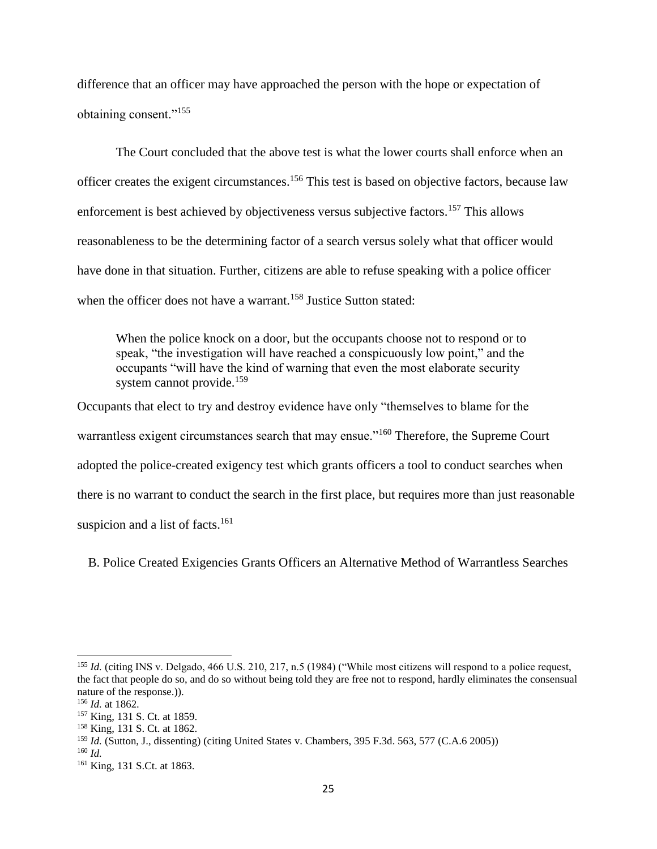difference that an officer may have approached the person with the hope or expectation of obtaining consent."<sup>155</sup>

The Court concluded that the above test is what the lower courts shall enforce when an officer creates the exigent circumstances.<sup>156</sup> This test is based on objective factors, because law enforcement is best achieved by objectiveness versus subjective factors.<sup>157</sup> This allows reasonableness to be the determining factor of a search versus solely what that officer would have done in that situation. Further, citizens are able to refuse speaking with a police officer when the officer does not have a warrant.<sup>158</sup> Justice Sutton stated:

When the police knock on a door, but the occupants choose not to respond or to speak, "the investigation will have reached a conspicuously low point," and the occupants "will have the kind of warning that even the most elaborate security system cannot provide.<sup>159</sup>

Occupants that elect to try and destroy evidence have only "themselves to blame for the warrantless exigent circumstances search that may ensue."<sup>160</sup> Therefore, the Supreme Court adopted the police-created exigency test which grants officers a tool to conduct searches when there is no warrant to conduct the search in the first place, but requires more than just reasonable suspicion and a list of facts.<sup>161</sup>

B. Police Created Exigencies Grants Officers an Alternative Method of Warrantless Searches

 $\overline{\phantom{a}}$ <sup>155</sup> *Id.* (citing INS v. Delgado, 466 U.S. 210, 217, n.5 (1984) ("While most citizens will respond to a police request, the fact that people do so, and do so without being told they are free not to respond, hardly eliminates the consensual nature of the response.)).

<sup>156</sup> *Id.* at 1862.

<sup>157</sup> King, 131 S. Ct. at 1859.

<sup>158</sup> King, 131 S. Ct. at 1862.

<sup>159</sup> *Id.* (Sutton, J., dissenting) (citing United States v. Chambers, 395 F.3d. 563, 577 (C.A.6 2005))

<sup>160</sup> *Id.*

<sup>&</sup>lt;sup>161</sup> King, 131 S.Ct. at 1863.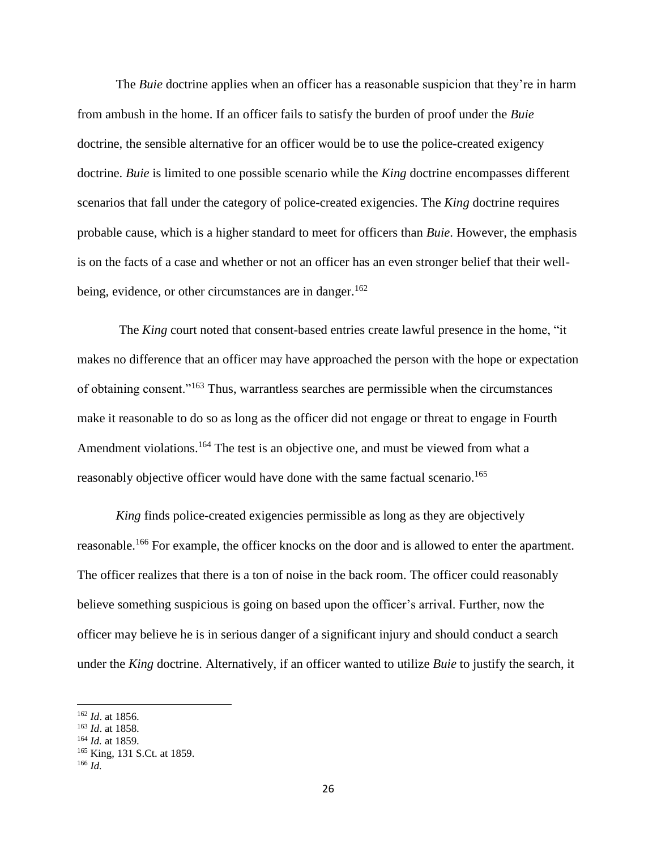The *Buie* doctrine applies when an officer has a reasonable suspicion that they're in harm from ambush in the home. If an officer fails to satisfy the burden of proof under the *Buie*  doctrine, the sensible alternative for an officer would be to use the police-created exigency doctrine. *Buie* is limited to one possible scenario while the *King* doctrine encompasses different scenarios that fall under the category of police-created exigencies. The *King* doctrine requires probable cause, which is a higher standard to meet for officers than *Buie*. However, the emphasis is on the facts of a case and whether or not an officer has an even stronger belief that their wellbeing, evidence, or other circumstances are in danger.<sup>162</sup>

The *King* court noted that consent-based entries create lawful presence in the home, "it makes no difference that an officer may have approached the person with the hope or expectation of obtaining consent."<sup>163</sup> Thus, warrantless searches are permissible when the circumstances make it reasonable to do so as long as the officer did not engage or threat to engage in Fourth Amendment violations.<sup>164</sup> The test is an objective one, and must be viewed from what a reasonably objective officer would have done with the same factual scenario.<sup>165</sup>

*King* finds police-created exigencies permissible as long as they are objectively reasonable.<sup>166</sup> For example, the officer knocks on the door and is allowed to enter the apartment. The officer realizes that there is a ton of noise in the back room. The officer could reasonably believe something suspicious is going on based upon the officer's arrival. Further, now the officer may believe he is in serious danger of a significant injury and should conduct a search under the *King* doctrine. Alternatively, if an officer wanted to utilize *Buie* to justify the search, it

<sup>162</sup> *Id*. at 1856.

<sup>163</sup> *Id*. at 1858.

<sup>164</sup> *Id.* at 1859.

<sup>165</sup> King, 131 S.Ct. at 1859.

<sup>166</sup> *Id.*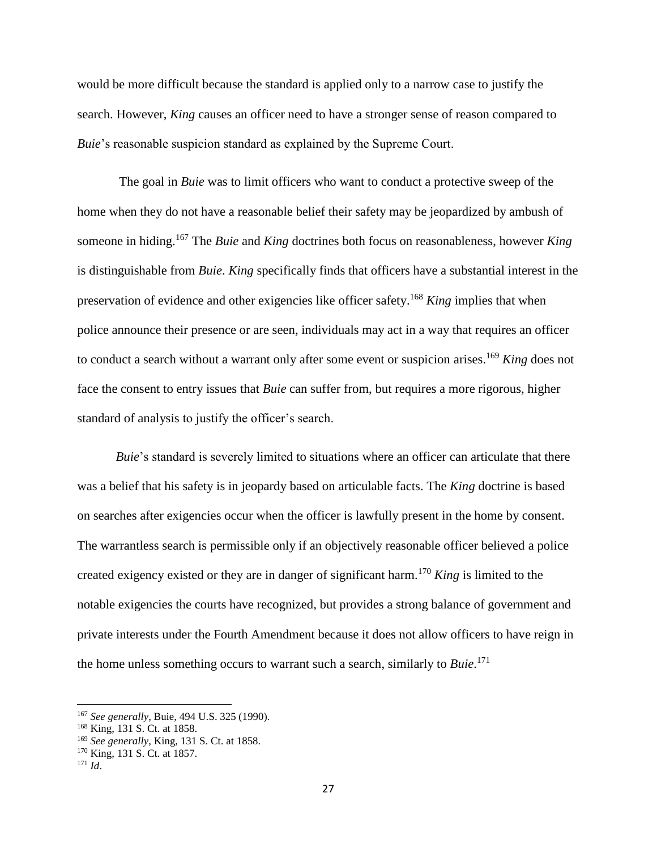would be more difficult because the standard is applied only to a narrow case to justify the search. However, *King* causes an officer need to have a stronger sense of reason compared to *Buie*'s reasonable suspicion standard as explained by the Supreme Court.

The goal in *Buie* was to limit officers who want to conduct a protective sweep of the home when they do not have a reasonable belief their safety may be jeopardized by ambush of someone in hiding.<sup>167</sup> The *Buie* and *King* doctrines both focus on reasonableness, however *King*  is distinguishable from *Buie*. *King* specifically finds that officers have a substantial interest in the preservation of evidence and other exigencies like officer safety. <sup>168</sup> *King* implies that when police announce their presence or are seen, individuals may act in a way that requires an officer to conduct a search without a warrant only after some event or suspicion arises. <sup>169</sup> *King* does not face the consent to entry issues that *Buie* can suffer from, but requires a more rigorous, higher standard of analysis to justify the officer's search.

*Buie*'s standard is severely limited to situations where an officer can articulate that there was a belief that his safety is in jeopardy based on articulable facts. The *King* doctrine is based on searches after exigencies occur when the officer is lawfully present in the home by consent. The warrantless search is permissible only if an objectively reasonable officer believed a police created exigency existed or they are in danger of significant harm. <sup>170</sup> *King* is limited to the notable exigencies the courts have recognized, but provides a strong balance of government and private interests under the Fourth Amendment because it does not allow officers to have reign in the home unless something occurs to warrant such a search, similarly to *Buie*. 171

<sup>167</sup> *See generally*, Buie, 494 U.S. 325 (1990).

<sup>168</sup> King, 131 S. Ct. at 1858.

<sup>169</sup> *See generally*, King, 131 S. Ct. at 1858.

<sup>170</sup> King, 131 S. Ct. at 1857.

<sup>171</sup> *Id*.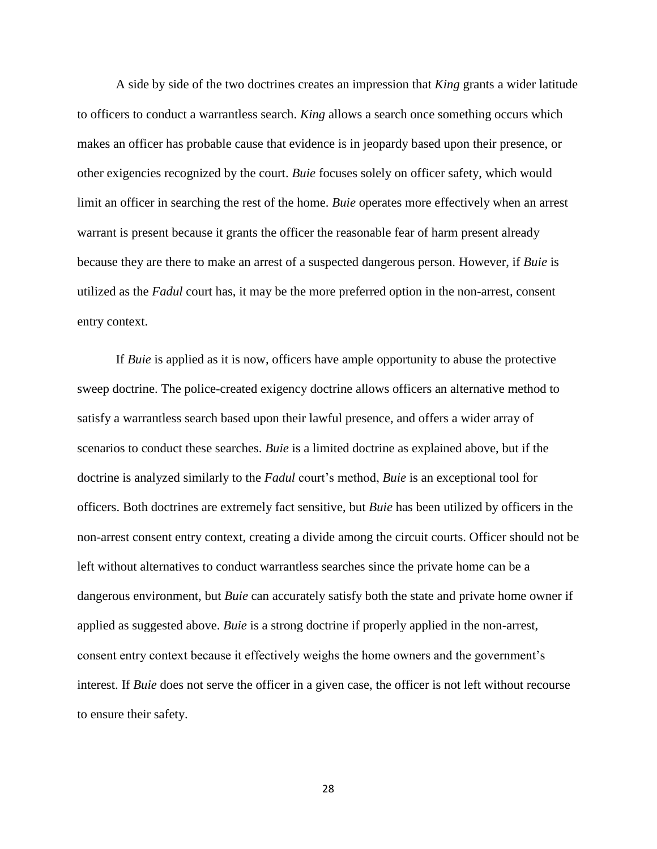A side by side of the two doctrines creates an impression that *King* grants a wider latitude to officers to conduct a warrantless search. *King* allows a search once something occurs which makes an officer has probable cause that evidence is in jeopardy based upon their presence, or other exigencies recognized by the court. *Buie* focuses solely on officer safety, which would limit an officer in searching the rest of the home. *Buie* operates more effectively when an arrest warrant is present because it grants the officer the reasonable fear of harm present already because they are there to make an arrest of a suspected dangerous person. However, if *Buie* is utilized as the *Fadul* court has, it may be the more preferred option in the non-arrest, consent entry context.

If *Buie* is applied as it is now, officers have ample opportunity to abuse the protective sweep doctrine. The police-created exigency doctrine allows officers an alternative method to satisfy a warrantless search based upon their lawful presence, and offers a wider array of scenarios to conduct these searches. *Buie* is a limited doctrine as explained above, but if the doctrine is analyzed similarly to the *Fadul* court's method, *Buie* is an exceptional tool for officers. Both doctrines are extremely fact sensitive, but *Buie* has been utilized by officers in the non-arrest consent entry context, creating a divide among the circuit courts. Officer should not be left without alternatives to conduct warrantless searches since the private home can be a dangerous environment, but *Buie* can accurately satisfy both the state and private home owner if applied as suggested above. *Buie* is a strong doctrine if properly applied in the non-arrest, consent entry context because it effectively weighs the home owners and the government's interest. If *Buie* does not serve the officer in a given case, the officer is not left without recourse to ensure their safety.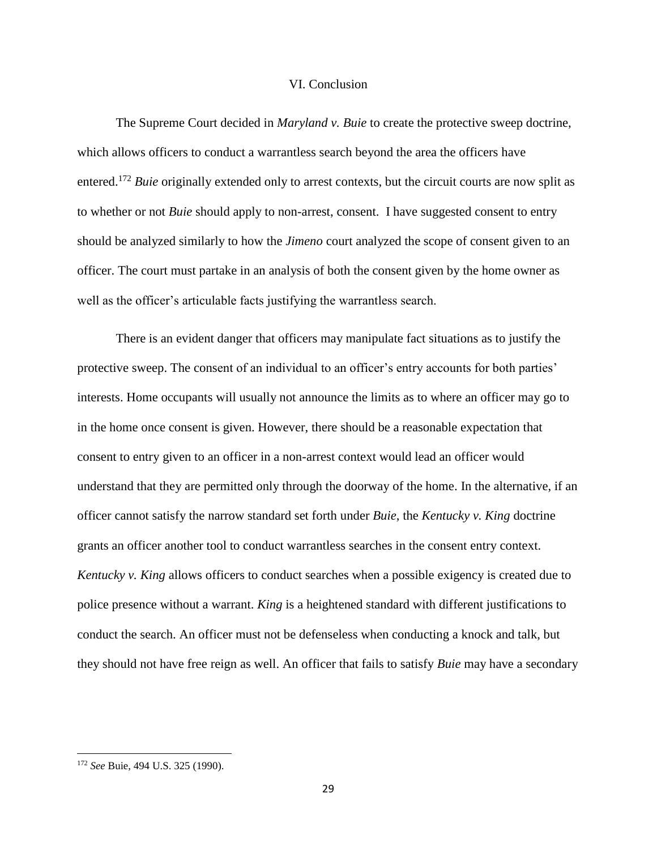#### VI. Conclusion

The Supreme Court decided in *Maryland v. Buie* to create the protective sweep doctrine, which allows officers to conduct a warrantless search beyond the area the officers have entered.<sup>172</sup> *Buie* originally extended only to arrest contexts, but the circuit courts are now split as to whether or not *Buie* should apply to non-arrest, consent. I have suggested consent to entry should be analyzed similarly to how the *Jimeno* court analyzed the scope of consent given to an officer. The court must partake in an analysis of both the consent given by the home owner as well as the officer's articulable facts justifying the warrantless search.

There is an evident danger that officers may manipulate fact situations as to justify the protective sweep. The consent of an individual to an officer's entry accounts for both parties' interests. Home occupants will usually not announce the limits as to where an officer may go to in the home once consent is given. However, there should be a reasonable expectation that consent to entry given to an officer in a non-arrest context would lead an officer would understand that they are permitted only through the doorway of the home. In the alternative, if an officer cannot satisfy the narrow standard set forth under *Buie*, the *Kentucky v. King* doctrine grants an officer another tool to conduct warrantless searches in the consent entry context. *Kentucky v. King* allows officers to conduct searches when a possible exigency is created due to police presence without a warrant. *King* is a heightened standard with different justifications to conduct the search. An officer must not be defenseless when conducting a knock and talk, but they should not have free reign as well. An officer that fails to satisfy *Buie* may have a secondary

<sup>172</sup> *See* Buie, 494 U.S. 325 (1990).